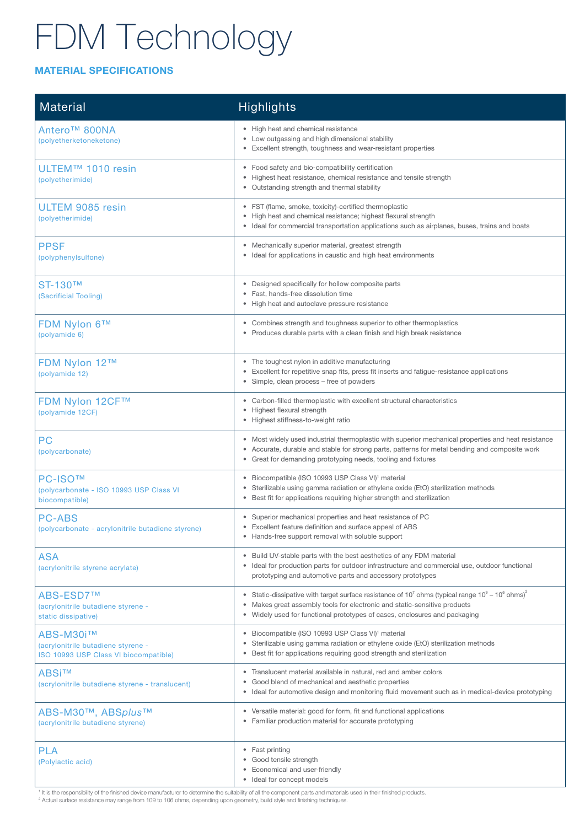#### MATERIAL SPECIFICATIONS

| <b>Material</b>                                                                          | Highlights                                                                                                                                                                                                                                                                                  |  |  |
|------------------------------------------------------------------------------------------|---------------------------------------------------------------------------------------------------------------------------------------------------------------------------------------------------------------------------------------------------------------------------------------------|--|--|
| Antero <sup>™</sup> 800NA<br>(polyetherketoneketone)                                     | • High heat and chemical resistance<br>• Low outgassing and high dimensional stability<br>Excellent strength, toughness and wear-resistant properties                                                                                                                                       |  |  |
| ULTEM™ 1010 resin<br>(polyetherimide)                                                    | • Food safety and bio-compatibility certification<br>Highest heat resistance, chemical resistance and tensile strength<br>$\bullet$<br>Outstanding strength and thermal stability                                                                                                           |  |  |
| ULTEM 9085 resin<br>(polyetherimide)                                                     | FST (flame, smoke, toxicity)-certified thermoplastic<br>٠<br>High heat and chemical resistance; highest flexural strength<br>$\bullet$<br>• Ideal for commercial transportation applications such as airplanes, buses, trains and boats                                                     |  |  |
| <b>PPSF</b><br>(polyphenylsulfone)                                                       | • Mechanically superior material, greatest strength<br>Ideal for applications in caustic and high heat environments                                                                                                                                                                         |  |  |
| ST-130™<br>(Sacrificial Tooling)                                                         | Designed specifically for hollow composite parts<br>٠<br>Fast, hands-free dissolution time<br>• High heat and autoclave pressure resistance                                                                                                                                                 |  |  |
| <b>FDM Nylon 6™</b><br>(polyamide 6)                                                     | Combines strength and toughness superior to other thermoplastics<br>Produces durable parts with a clean finish and high break resistance                                                                                                                                                    |  |  |
| FDM Nylon 12™<br>(polyamide 12)                                                          | • The toughest nylon in additive manufacturing<br>Excellent for repetitive snap fits, press fit inserts and fatigue-resistance applications<br>Simple, clean process – free of powders                                                                                                      |  |  |
| <b>FDM Nylon 12CF™</b><br>(polyamide 12CF)                                               | Carbon-filled thermoplastic with excellent structural characteristics<br>Highest flexural strength<br>$\bullet$<br>• Highest stiffness-to-weight ratio                                                                                                                                      |  |  |
| PC<br>(polycarbonate)                                                                    | • Most widely used industrial thermoplastic with superior mechanical properties and heat resistance<br>Accurate, durable and stable for strong parts, patterns for metal bending and composite work<br>Great for demanding prototyping needs, tooling and fixtures                          |  |  |
| <b>PC-ISO™</b><br>(polycarbonate - ISO 10993 USP Class VI<br>biocompatible)              | Biocompatible (ISO 10993 USP Class VI) <sup>1</sup> material<br>٠<br>Sterilizable using gamma radiation or ethylene oxide (EtO) sterilization methods<br>Best fit for applications requiring higher strength and sterilization                                                              |  |  |
| <b>PC-ABS</b><br>(polycarbonate - acrylonitrile butadiene styrene)                       | • Superior mechanical properties and heat resistance of PC<br>• Excellent feature definition and surface appeal of ABS<br>Hands-free support removal with soluble support                                                                                                                   |  |  |
| <b>ASA</b><br>(acrylonitrile styrene acrylate)                                           | • Build UV-stable parts with the best aesthetics of any FDM material<br>Ideal for production parts for outdoor infrastructure and commercial use, outdoor functional<br>prototyping and automotive parts and accessory prototypes                                                           |  |  |
| <b>ABS-ESD7™</b><br>(acrylonitrile butadiene styrene -<br>static dissipative)            | Static-dissipative with target surface resistance of $10^7$ ohms (typical range $10^9$ – $10^6$ ohms) <sup>2</sup><br>٠<br>Makes great assembly tools for electronic and static-sensitive products<br>$\bullet$<br>Widely used for functional prototypes of cases, enclosures and packaging |  |  |
| ABS-M30i™<br>(acrylonitrile butadiene styrene -<br>ISO 10993 USP Class VI biocompatible) | Biocompatible (ISO 10993 USP Class VI) <sup>1</sup> material<br>$\bullet$<br>Sterilizable using gamma radiation or ethylene oxide (EtO) sterilization methods<br>٠<br>Best fit for applications requiring good strength and sterilization                                                   |  |  |
| <b>ABSi™</b><br>(acrylonitrile butadiene styrene - translucent)                          | Translucent material available in natural, red and amber colors<br>$\bullet$<br>Good blend of mechanical and aesthetic properties<br>$\bullet$<br>Ideal for automotive design and monitoring fluid movement such as in medical-device prototyping<br>٠                                      |  |  |
| ABS-M30™, ABSplus™<br>(acrylonitrile butadiene styrene)                                  | Versatile material: good for form, fit and functional applications<br>$\bullet$<br>Familiar production material for accurate prototyping<br>٠                                                                                                                                               |  |  |
| <b>PLA</b><br>(Polylactic acid)                                                          | • Fast printing<br>Good tensile strength<br>$\bullet$<br>Economical and user-friendly<br>$\bullet$<br>Ideal for concept models                                                                                                                                                              |  |  |

<sup>1</sup> It is the responsibility of the finished device manufacturer to determine the suitability of all the component parts and materials used in their finished products.

2 Actual surface resistance may range from 109 to 106 ohms, depending upon geometry, build style and finishing techniques.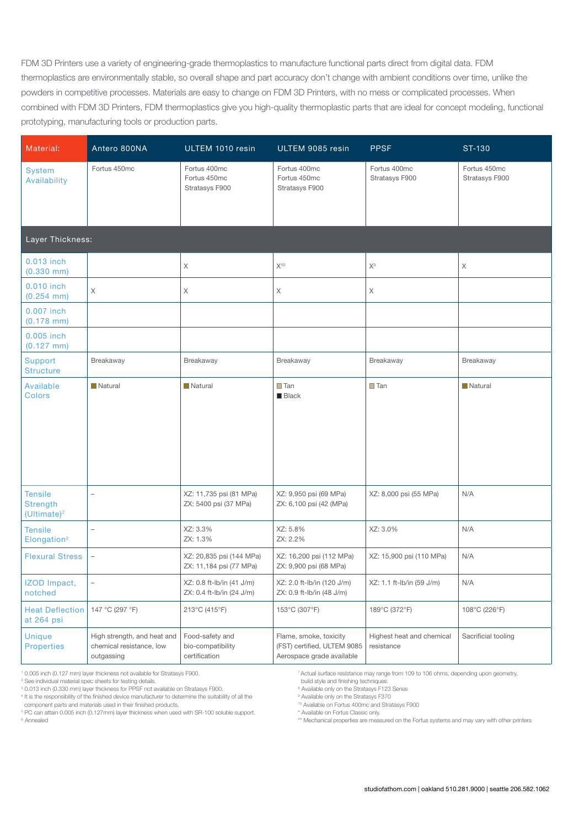FDM 3D Printers use a variety of engineering-grade thermoplastics to manufacture functional parts direct from digital data. FDM thermoplastics are environmentally stable, so overall shape and part accuracy don't change with ambient conditions over time, unlike the powders in competitive processes. Materials are easy to change on FDM 3D Printers, with no mess or complicated processes. When combined with FDM 3D Printers, FDM thermoplastics give you high-quality thermoplastic parts that are ideal for concept modeling, functional prototyping, manufacturing tools or production parts.

| Material:                                           | Antero 800NA                                                          | ULTEM 1010 resin                                       | ULTEM 9085 resin                                                                   | <b>PPSF</b>                             | ST-130                         |
|-----------------------------------------------------|-----------------------------------------------------------------------|--------------------------------------------------------|------------------------------------------------------------------------------------|-----------------------------------------|--------------------------------|
| <b>System</b><br>Availability                       | Fortus 450mc                                                          | Fortus 400mc<br>Fortus 450mc<br>Stratasys F900         | Fortus 400mc<br>Fortus 450mc<br>Stratasys F900                                     | Fortus 400mc<br>Stratasys F900          | Fortus 450mc<br>Stratasys F900 |
| Layer Thickness:                                    |                                                                       |                                                        |                                                                                    |                                         |                                |
| 0.013 inch<br>$(0.330$ mm)                          |                                                                       | $\mathsf X$                                            | $X^{10}$                                                                           | $X^3$                                   | $\mathsf X$                    |
| 0.010 inch<br>$(0.254$ mm)                          | X                                                                     | $\mathsf X$                                            | Χ                                                                                  | Χ                                       |                                |
| 0.007 inch<br>$(0.178$ mm)                          |                                                                       |                                                        |                                                                                    |                                         |                                |
| 0.005 inch<br>$(0.127$ mm)                          |                                                                       |                                                        |                                                                                    |                                         |                                |
| <b>Support</b><br><b>Structure</b>                  | Breakaway                                                             | Breakaway                                              | Breakaway                                                                          | Breakaway                               | Breakaway                      |
| Available<br><b>Colors</b>                          | Natural                                                               | Natural                                                | $\Box$ Tan<br><b>Black</b>                                                         | $\Box$ Tan                              | Natural                        |
| <b>Tensile</b><br><b>Strength</b><br>$(Ultimate)^2$ | $\overline{a}$                                                        | XZ: 11,735 psi (81 MPa)<br>ZX: 5400 psi (37 MPa)       | XZ: 9,950 psi (69 MPa)<br>ZX: 6,100 psi (42 (MPa)                                  | XZ: 8,000 psi (55 MPa)                  | N/A                            |
| <b>Tensile</b><br>Elongation <sup>2</sup>           | $\overline{\phantom{0}}$                                              | XZ: 3.3%<br>ZX: 1.3%                                   | XZ: 5.8%<br>ZX: 2.2%                                                               | XZ: 3.0%                                | N/A                            |
| <b>Flexural Stress</b>                              | $\overline{\phantom{0}}$                                              | XZ: 20,835 psi (144 MPa)<br>ZX: 11,184 psi (77 MPa)    | XZ: 16,200 psi (112 MPa)<br>ZX: 9,900 psi (68 MPa)                                 | XZ: 15,900 psi (110 MPa)                | N/A                            |
| IZOD Impact,<br>notched                             | $\overline{a}$                                                        | XZ: 0.8 ft-lb/in (41 J/m)<br>ZX: 0.4 ft-lb/in (24 J/m) | XZ: 2.0 ft-lb/in (120 J/m)<br>ZX: 0.9 ft-lb/in (48 J/m)                            | XZ: 1.1 ft-lb/in (59 J/m)               | N/A                            |
| <b>Heat Deflection</b><br>at 264 psi                | 147 °C (297 °F)                                                       | 213°C (415°F)                                          | 153°C (307°F)                                                                      | 189°C (372°F)                           | 108°C (226°F)                  |
| <b>Unique</b><br><b>Properties</b>                  | High strength, and heat and<br>chemical resistance, low<br>outgassing | Food-safety and<br>bio-compatibility<br>certification  | Flame, smoke, toxicity<br>(FST) certified, ULTEM 9085<br>Aerospace grade available | Highest heat and chemical<br>resistance | Sacrificial tooling            |

1 0.005 inch (0.127 mm) layer thickness not available for Stratasys F900.

2 See individual material spec sheets for testing details.

3 0.013 inch (0.330 mm) layer thickness for PPSF not available on Stratasys F900.

4 It is the responsibility of the finished device manufacturer to determine the suitability of all the

component parts and materials used in their finished products.

5 PC can attain 0.005 inch (0.127mm) layer thickness when used with SR-100 soluble support. 6 Annealed

7 Actual surface resistance may range from 109 to 106 ohms, depending upon geometry,

build style and finishing techniques.

<sup>8</sup> Available only on the Stratasys F123 Series

<sup>9</sup> Available only on the Stratasys F370 10 Available on Fortus 400mc and Stratasys F900

\* Available on Fortus Classic only.

\*\* Mechanical properties are measured on the Fortus systems and may vary with other printers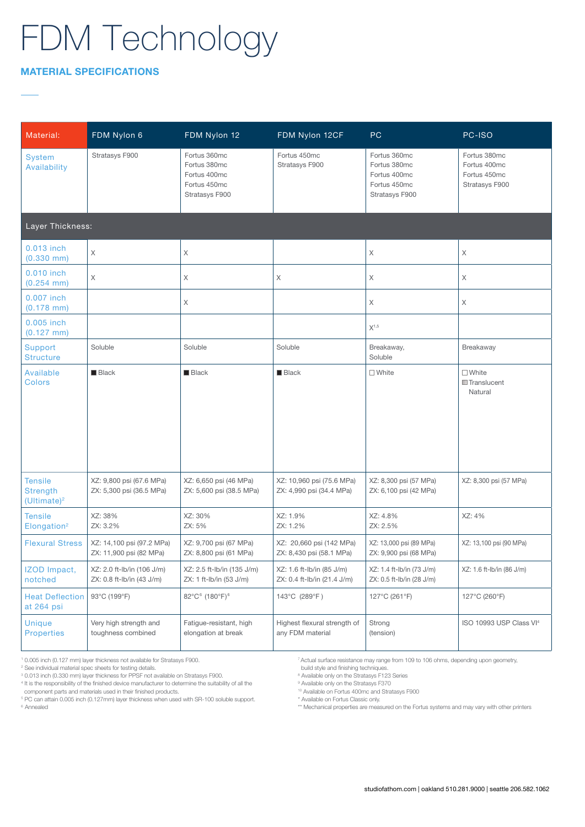#### MATERIAL SPECIFICATIONS

| Material:                                                    | FDM Nylon 6                                             | FDM Nylon 12                                                                   | FDM Nylon 12CF                                           | <b>PC</b>                                                                      | PC-ISO                                                         |
|--------------------------------------------------------------|---------------------------------------------------------|--------------------------------------------------------------------------------|----------------------------------------------------------|--------------------------------------------------------------------------------|----------------------------------------------------------------|
| <b>System</b><br>Availability                                | Stratasys F900                                          | Fortus 360mc<br>Fortus 380mc<br>Fortus 400mc<br>Fortus 450mc<br>Stratasys F900 | Fortus 450mc<br>Stratasys F900                           | Fortus 360mc<br>Fortus 380mc<br>Fortus 400mc<br>Fortus 450mc<br>Stratasys F900 | Fortus 380mc<br>Fortus 400mc<br>Fortus 450mc<br>Stratasys F900 |
| Layer Thickness:                                             |                                                         |                                                                                |                                                          |                                                                                |                                                                |
| 0.013 inch<br>$(0.330$ mm)                                   | Χ                                                       | X                                                                              |                                                          | X                                                                              | Χ                                                              |
| 0.010 inch<br>$(0.254$ mm)                                   | X                                                       | X                                                                              | X                                                        | X                                                                              | X                                                              |
| 0.007 inch<br>$(0.178$ mm)                                   |                                                         | X                                                                              |                                                          | X                                                                              | Χ                                                              |
| 0.005 inch<br>$(0.127$ mm)                                   |                                                         |                                                                                |                                                          | $X^{1,5}$                                                                      |                                                                |
| <b>Support</b><br><b>Structure</b>                           | Soluble                                                 | Soluble                                                                        | Soluble                                                  | Breakaway,<br>Soluble                                                          | Breakaway                                                      |
| Available<br><b>Colors</b>                                   | $\blacksquare$ Black                                    | $\blacksquare$ Black                                                           | $\blacksquare$ Black                                     | $\square$ White                                                                | $\square$ White<br><b>Translucent</b><br>Natural               |
| <b>Tensile</b><br><b>Strength</b><br>(Ultimate) <sup>2</sup> | XZ: 9,800 psi (67.6 MPa)<br>ZX: 5,300 psi (36.5 MPa)    | XZ: 6,650 psi (46 MPa)<br>ZX: 5,600 psi (38.5 MPa)                             | XZ: 10,960 psi (75.6 MPa)<br>ZX: 4,990 psi (34.4 MPa)    | XZ: 8,300 psi (57 MPa)<br>ZX: 6,100 psi (42 MPa)                               | XZ: 8,300 psi (57 MPa)                                         |
| <b>Tensile</b><br>Elongation <sup>2</sup>                    | XZ: 38%<br>ZX: 3.2%                                     | XZ: 30%<br>ZX: 5%                                                              | XZ: 1.9%<br>ZX: 1.2%                                     | XZ: 4.8%<br>ZX: 2.5%                                                           | XZ: 4%                                                         |
| <b>Flexural Stress</b>                                       | XZ: 14,100 psi (97.2 MPa)<br>ZX: 11,900 psi (82 MPa)    | XZ: 9,700 psi (67 MPa)<br>ZX: 8,800 psi (61 MPa)                               | XZ: 20,660 psi (142 MPa)<br>ZX: 8,430 psi (58.1 MPa)     | XZ: 13,000 psi (89 MPa)<br>ZX: 9,900 psi (68 MPa)                              | XZ: 13,100 psi (90 MPa)                                        |
| IZOD Impact,<br>notched                                      | XZ: 2.0 ft-lb/in (106 J/m)<br>ZX: 0.8 ft-lb/in (43 J/m) | XZ: 2.5 ft-lb/in (135 J/m)<br>ZX: 1 ft-lb/in (53 J/m)                          | XZ: 1.6 ft-lb/in (85 J/m)<br>ZX: 0.4 ft-lb/in (21.4 J/m) | XZ: 1.4 ft-Ib/in (73 J/m)<br>ZX: 0.5 ft-lb/in (28 J/m)                         | XZ: 1.6 ft-lb/in (86 J/m)                                      |
| <b>Heat Deflection</b><br>at 264 psi                         | 93°C (199°F)                                            | 82°C <sup>6</sup> (180°F) <sup>6</sup>                                         | 143°C (289°F)                                            | 127°C (261°F)                                                                  | 127°C (260°F)                                                  |
| <b>Unique</b><br><b>Properties</b>                           | Very high strength and<br>toughness combined            | Fatique-resistant, high<br>elongation at break                                 | Highest flexural strength of<br>any FDM material         | Strong<br>(tension)                                                            | ISO 10993 USP Class VI <sup>4</sup>                            |

1 0.005 inch (0.127 mm) layer thickness not available for Stratasys F900.

4 It is the responsibility of the finished device manufacturer to determine the suitability of all the

component parts and materials used in their finished products.

7 Actual surface resistance may range from 109 to 106 ohms, depending upon geometry, build style and finishing techniques.

<sup>8</sup> Available only on the Stratasys F123 Series

<sup>9</sup> Available only on the Stratasys F370

10 Available on Fortus 400mc and Stratasys F900

\* Available on Fortus Classic only.

\*\* Mechanical properties are measured on the Fortus systems and may vary with other printers

<sup>2</sup> See individual material spec sheets for testing details.

<sup>3</sup> 0.013 inch (0.330 mm) layer thickness for PPSF not available on Stratasys F900.

<sup>5</sup> PC can attain 0.005 inch (0.127mm) layer thickness when used with SR-100 soluble support. 6 Annealed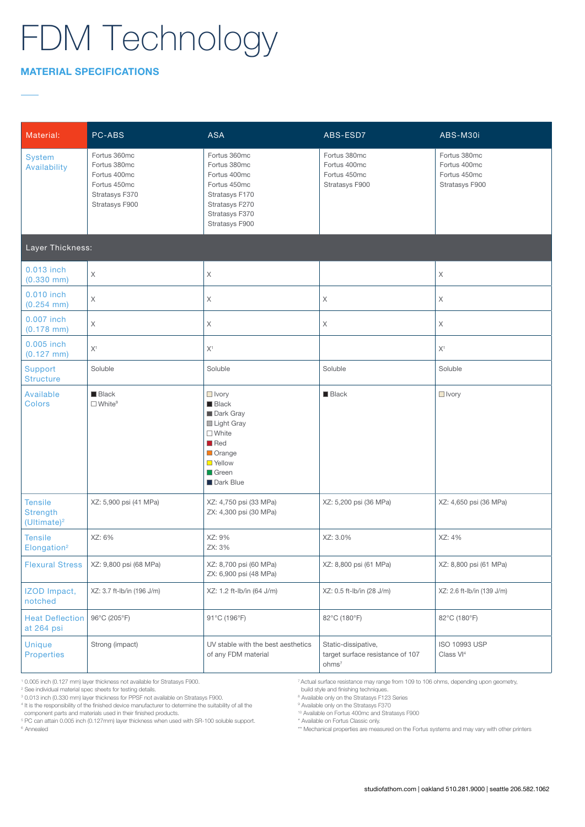### MATERIAL SPECIFICATIONS

| Material:                                           | PC-ABS                                                                                           | <b>ASA</b>                                                                                                                                                         | ABS-ESD7                                                                     | ABS-M30i                                                       |
|-----------------------------------------------------|--------------------------------------------------------------------------------------------------|--------------------------------------------------------------------------------------------------------------------------------------------------------------------|------------------------------------------------------------------------------|----------------------------------------------------------------|
| <b>System</b><br>Availability                       | Fortus 360mc<br>Fortus 380mc<br>Fortus 400mc<br>Fortus 450mc<br>Stratasys F370<br>Stratasys F900 | Fortus 360mc<br>Fortus 380mc<br>Fortus 400mc<br>Fortus 450mc<br>Stratasys F170<br>Stratasys F270<br>Stratasys F370<br>Stratasys F900                               | Fortus 380mc<br>Fortus 400mc<br>Fortus 450mc<br>Stratasys F900               | Fortus 380mc<br>Fortus 400mc<br>Fortus 450mc<br>Stratasys F900 |
| Layer Thickness:                                    |                                                                                                  |                                                                                                                                                                    |                                                                              |                                                                |
| 0.013 inch<br>$(0.330$ mm)                          | X                                                                                                | $\mathsf X$                                                                                                                                                        |                                                                              | $\mathsf X$                                                    |
| 0.010 inch<br>$(0.254$ mm)                          | $\mathsf X$                                                                                      | $\boldsymbol{\mathsf{X}}$                                                                                                                                          | X                                                                            | Χ                                                              |
| 0.007 inch<br>$(0.178$ mm)                          | X                                                                                                | X                                                                                                                                                                  | X                                                                            | Χ                                                              |
| 0.005 inch<br>$(0.127$ mm)                          | X <sup>1</sup>                                                                                   | X <sup>1</sup>                                                                                                                                                     |                                                                              | X <sup>1</sup>                                                 |
| <b>Support</b><br><b>Structure</b>                  | Soluble                                                                                          | Soluble                                                                                                                                                            | Soluble                                                                      | Soluble                                                        |
| Available<br><b>Colors</b>                          | <b>Black</b><br>$\Box$ White <sup>9</sup>                                                        | $\Box$ Ivory<br><b>Black</b><br>Dark Gray<br>Light Gray<br>$\square$ White<br>$\blacksquare$ Red<br>Orange<br><b>N</b> Yellow<br>$\blacksquare$ Green<br>Dark Blue | <b>Black</b>                                                                 | $\Box$ Ivory                                                   |
| <b>Tensile</b><br><b>Strength</b><br>$(Ultimate)^2$ | XZ: 5,900 psi (41 MPa)                                                                           | XZ: 4,750 psi (33 MPa)<br>ZX: 4,300 psi (30 MPa)                                                                                                                   | XZ: 5,200 psi (36 MPa)                                                       | XZ: 4,650 psi (36 MPa)                                         |
| <b>Tensile</b><br>Elongation <sup>2</sup>           | XZ: 6%                                                                                           | XZ: 9%<br>ZX: 3%                                                                                                                                                   | XZ: 3.0%                                                                     | XZ: 4%                                                         |
| <b>Flexural Stress</b>                              | XZ: 9,800 psi (68 MPa)                                                                           | XZ: 8,700 psi (60 MPa)<br>ZX: 6,900 psi (48 MPa)                                                                                                                   | XZ: 8,800 psi (61 MPa)                                                       | XZ: 8,800 psi (61 MPa)                                         |
| IZOD Impact,<br>notched                             | XZ: 3.7 ft-lb/in (196 J/m)                                                                       | XZ: 1.2 ft-lb/in (64 J/m)                                                                                                                                          | XZ: 0.5 ft-lb/in (28 J/m)                                                    | XZ: 2.6 ft-lb/in (139 J/m)                                     |
| <b>Heat Deflection</b><br>at 264 psi                | 96°C (205°F)                                                                                     | 91°C (196°F)                                                                                                                                                       | 82°C (180°F)                                                                 | 82°C (180°F)                                                   |
| <b>Unique</b><br><b>Properties</b>                  | Strong (impact)                                                                                  | UV stable with the best aesthetics<br>of any FDM material                                                                                                          | Static-dissipative,<br>target surface resistance of 107<br>ohms <sup>7</sup> | ISO 10993 USP<br>Class VI <sup>4</sup>                         |

1 0.005 inch (0.127 mm) layer thickness not available for Stratasys F900.

2 See individual material spec sheets for testing details. 3 0.013 inch (0.330 mm) layer thickness for PPSF not available on Stratasys F900.

4 It is the responsibility of the finished device manufacturer to determine the suitability of all the

component parts and materials used in their finished products.

5 PC can attain 0.005 inch (0.127mm) layer thickness when used with SR-100 soluble support. <sup>6</sup> Annealed

7 Actual surface resistance may range from 109 to 106 ohms, depending upon geometry,

build style and finishing techniques. 8 Available only on the Stratasys F123 Series

<sup>9</sup> Available only on the Stratasys F370 10 Available on Fortus 400mc and Stratasys F900

\* Available on Fortus Classic only.

\*\* Mechanical properties are measured on the Fortus systems and may vary with other printers